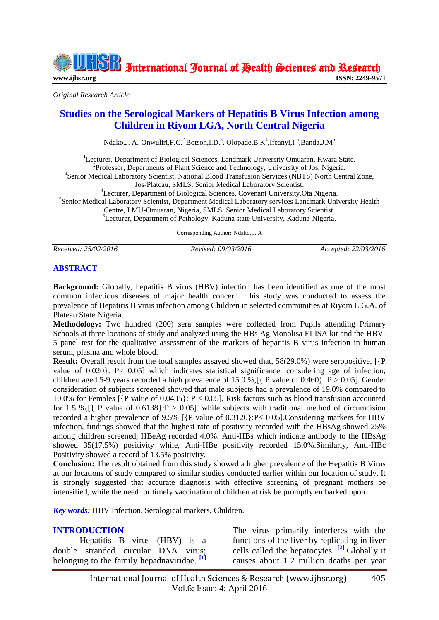International Journal of Health Sciences and Research

**[www.ijhsr.org](http://www.ijhsr.org/) ISSN: 2249-9571**

*Original Research Article*

# **Studies on the Serological Markers of Hepatitis B Virus Infection among Children in Riyom LGA, North Central Nigeria**

Ndako, J. A.  $^{1}$ Onwuliri, F.C.<sup>2</sup> Botson, I.D.<sup>3</sup>, Olopade, B.K<sup>4</sup>, Ifeanyi, I<sup>5</sup>, Banda, J.M<sup>6</sup>

<sup>1</sup>Lecturer. Department of Biological Sciences, Landmark University Omuaran, Kwara State. <sup>2</sup>Professor, Departments of Plant Science and Technology, University of Jos, Nigeria. <sup>3</sup>Senior Medical Laboratory Scientist, National Blood Transfusion Services (NBTS) North Central Zone, Jos-Plateau, SMLS: Senior Medical Laboratory Scientist. <sup>4</sup>Lecturer, Department of Biological Sciences, Covenant University, Ota Nigeria. 5 Senior Medical Laboratory Scientist, Department Medical Laboratory services Landmark University Health Centre, LMU-Omuaran, Nigeria, SMLS: Senior Medical Laboratory Scientist.

<sup>6</sup>Lecturer, Department of Pathology, Kaduna state University, Kaduna-Nigeria.

Corresponding Author: Ndako, J. A

*Received: 25/02/2016 Revised: 09/03/2016 Accepted: 22/03/2016*

#### **ABSTRACT**

**Background:** Globally, hepatitis B virus (HBV) infection has been identified as one of the most common infectious diseases of major health concern. This study was conducted to assess the prevalence of Hepatitis B virus infection among Children in selected communities at Riyom L.G.A. of Plateau State Nigeria.

**Methodology:** Two hundred (200) sera samples were collected from Pupils attending Primary Schools at three locations of study and analyzed using the HBs Ag Monolisa ELISA kit and the HBV-5 panel test for the qualitative assessment of the markers of hepatitis B virus infection in human serum, plasma and whole blood.

**Result:** Overall result from the total samples assayed showed that, 58(29.0%) were seropositive, [{P} value of 0.020}: P< 0.05] which indicates statistical significance. considering age of infection, children aged 5-9 years recorded a high prevalence of 15.0 %,  $\lceil \nvert P \rvert$  value of 0.460 $\lvert P \rvert > 0.05$ ]. Gender consideration of subjects screened showed that male subjects had a prevalence of 19.0% compared to 10.0% for Females [{P value of 0.0435}: P < 0.05]. Risk factors such as blood transfusion accounted for 1.5 %,  $\lceil \int P \text{ value of } 0.6138 \rceil$ : P > 0.05]. while subjects with traditional method of circumcision recorded a higher prevalence of 9.5% [{P value of 0.3120}:P< 0.05].Considering markers for HBV infection, findings showed that the highest rate of positivity recorded with the HBsAg showed 25% among children screened, HBeAg recorded 4.0%. Anti-HBs which indicate antibody to the HBsAg showed 35(17.5%) positivity while, Anti-HBe positivity recorded 15.0%.Similarly, Anti-HBc Positivity showed a record of 13.5% positivity.

**Conclusion:** The result obtained from this study showed a higher prevalence of the Hepatitis B Virus at our locations of study compared to similar studies conducted earlier within our location of study. It is strongly suggested that accurate diagnosis with effective screening of pregnant mothers be intensified, while the need for timely vaccination of children at risk be promptly embarked upon.

*Key words:* HBV Infection, Serological markers, Children.

#### **INTRODUCTION**

Hepatitis B virus (HBV) is a double stranded circular DNA virus; belonging to the family hepadnaviridae. **[1]**

The virus primarily interferes with the functions of the liver by replicating in liver cells called the hepatocytes. **[2]** Globally it causes about 1.2 million deaths per year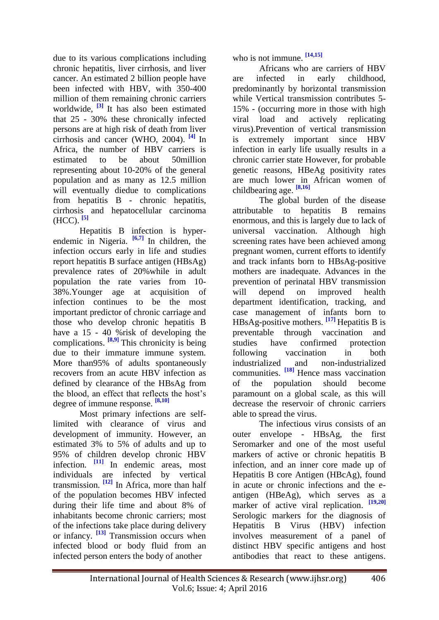due to its various complications including chronic hepatitis, liver cirrhosis, and liver cancer. An estimated 2 billion people have been infected with HBV, with 350-400 million of them remaining chronic carriers worldwide, **[3]** It has also been estimated that 25 - 30% these chronically infected persons are at high risk of death from liver cirrhosis and cancer (WHO, 2004). **[4]** In Africa, the number of HBV carriers is estimated to be about 50million representing about 10-20% of the general population and as many as 12.5 million will eventually diedue to complications from hepatitis B - chronic hepatitis, cirrhosis and hepatocellular carcinoma (HCC). **[5]**

Hepatitis B infection is hyperendemic in Nigeria. <sup>[6,7]</sup> In children, the infection occurs early in life and studies report hepatitis B surface antigen (HBsAg) prevalence rates of 20%while in adult population the rate varies from 10- 38%.Younger age at acquisition of infection continues to be the most important predictor of chronic carriage and those who develop chronic hepatitis B have a 15 - 40 %risk of developing the complications. **[8,9]** This chronicity is being due to their immature immune system. More than 95% of adults spontaneously recovers from an acute HBV infection as defined by clearance of the HBsAg from the blood, an effect that reflects the host's degree of immune response. **[8,10]**

Most primary infections are selflimited with clearance of virus and development of immunity. However, an estimated 3% to 5% of adults and up to 95% of children develop chronic HBV infection. <sup>[11]</sup> In endemic areas, most individuals are infected by vertical transmission. **[12]** In Africa, more than half of the population becomes HBV infected during their life time and about 8% of inhabitants become chronic carriers; most of the infections take place during delivery or infancy. <sup>[13]</sup> Transmission occurs when infected blood or body fluid from an infected person enters the body of another

who is not immune. **[14,15]**

Africans who are carriers of HBV are infected in early childhood, predominantly by horizontal transmission while Vertical transmission contributes 5- 15% - (occurring more in those with high viral load and actively replicating virus).Prevention of vertical transmission is extremely important since HBV infection in early life usually results in a chronic carrier state However, for probable genetic reasons, HBeAg positivity rates are much lower in African women of childbearing age. **[8,16]**

The global burden of the disease attributable to hepatitis B remains enormous, and this is largely due to lack of universal vaccination. Although high screening rates have been achieved among pregnant women, current efforts to identify and track infants born to HBsAg-positive mothers are inadequate. Advances in the prevention of perinatal HBV transmission will depend on improved health department identification, tracking, and case management of infants born to HBsAg-positive mothers. **[17]** Hepatitis B is preventable through vaccination and studies have confirmed protection following vaccination in both industrialized and non-industrialized communities. **[18]** Hence mass vaccination of the population should become paramount on a global scale, as this will decrease the reservoir of chronic carriers able to spread the virus.

The infectious virus consists of an outer envelope - HBsAg, the first Seromarker and one of the most useful markers of active or chronic hepatitis B infection, and an inner core made up of Hepatitis B core Antigen (HBcAg), found in acute or chronic infections and the eantigen (HBeAg), which serves as a marker of active viral replication. **[19,20]** Serologic markers for the diagnosis of Hepatitis B Virus (HBV) infection involves measurement of a panel of distinct HBV specific antigens and host antibodies that react to these antigens.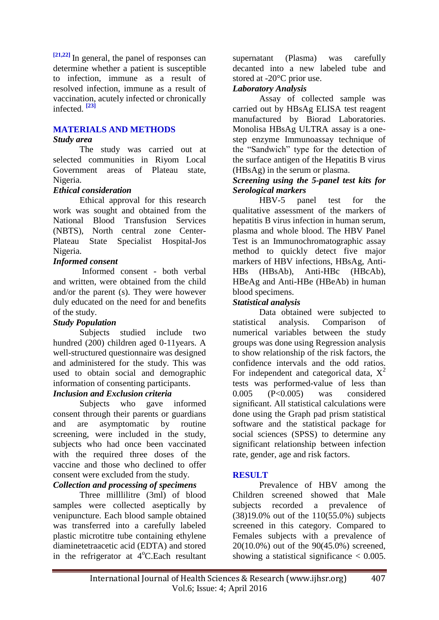**[21,22]** In general, the panel of responses can determine whether a patient is susceptible to infection, immune as a result of resolved infection, immune as a result of vaccination, acutely infected or chronically infected. **[23]**

### **MATERIALS AND METHODS**

#### *Study area*

The study was carried out at selected communities in Riyom Local Government areas of Plateau state, Nigeria.

#### *Ethical consideration*

Ethical approval for this research work was sought and obtained from the National Blood Transfusion Services (NBTS), North central zone Center-Plateau State Specialist Hospital-Jos Nigeria.

### *Informed consent*

Informed consent - both verbal and written, were obtained from the child and/or the parent (s). They were however duly educated on the need for and benefits of the study.

### *Study Population*

Subjects studied include two hundred (200) children aged 0-11years. A well-structured questionnaire was designed and administered for the study. This was used to obtain social and demographic information of consenting participants.

### *Inclusion and Exclusion criteria*

Subjects who gave informed consent through their parents or guardians and are asymptomatic by routine screening, were included in the study, subjects who had once been vaccinated with the required three doses of the vaccine and those who declined to offer consent were excluded from the study.

### *Collection and processing of specimens*

Three milllilitre (3ml) of blood samples were collected aseptically by venipuncture. Each blood sample obtained was transferred into a carefully labeled plastic microtitre tube containing ethylene diaminetetraacetic acid (EDTA) and stored in the refrigerator at  $4^{\circ}$ C.Each resultant supernatant (Plasma) was carefully decanted into a new labeled tube and stored at -20°C prior use.

### *Laboratory Analysis*

Assay of collected sample was carried out by HBsAg ELISA test reagent manufactured by Biorad Laboratories. Monolisa HBsAg ULTRA assay is a onestep enzyme Immunoassay technique of the "Sandwich" type for the detection of the surface antigen of the Hepatitis B virus (HBsAg) in the serum or plasma.

#### *Screening using the 5-panel test kits for Serological markers*

HBV-5 panel test for the qualitative assessment of the markers of hepatitis B virus infection in human serum, plasma and whole blood. The HBV Panel Test is an Immunochromatographic assay method to quickly detect five major markers of HBV infections, HBsAg, Anti-HBs (HBsAb), Anti-HBc (HBcAb), HBeAg and Anti-HBe (HBeAb) in human blood specimens.

### *Statistical analysis*

Data obtained were subjected to statistical analysis. Comparison of numerical variables between the study groups was done using Regression analysis to show relationship of the risk factors, the confidence intervals and the odd ratios. For independent and categorical data,  $X^2$ tests was performed-value of less than 0.005 (P<0.005) was considered significant. All statistical calculations were done using the Graph pad prism statistical software and the statistical package for social sciences (SPSS) to determine any significant relationship between infection rate, gender, age and risk factors.

### **RESULT**

Prevalence of HBV among the Children screened showed that Male subjects recorded a prevalence of (38)19.0% out of the 110(55.0%) subjects screened in this category. Compared to Females subjects with a prevalence of 20(10.0%) out of the 90(45.0%) screened, showing a statistical significance  $< 0.005$ .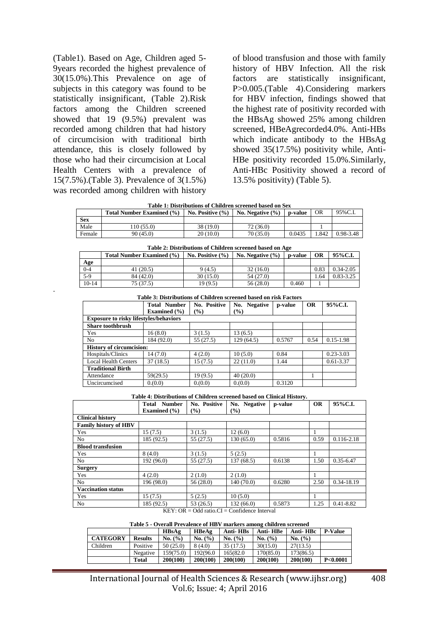(Table1). Based on Age, Children aged 5- 9years recorded the highest prevalence of 30(15.0%).This Prevalence on age of subjects in this category was found to be statistically insignificant, (Table 2).Risk factors among the Children screened showed that 19 (9.5%) prevalent was recorded among children that had history of circumcision with traditional birth attendance, this is closely followed by those who had their circumcision at Local Health Centers with a prevalence of 15(7.5%).(Table 3). Prevalence of 3(1.5%) was recorded among children with history

-

of blood transfusion and those with family history of HBV Infection. All the risk factors are statistically insignificant, P>0.005.(Table 4).Considering markers for HBV infection, findings showed that the highest rate of positivity recorded with the HBsAg showed 25% among children screened, HBeAgrecorded4.0%. Anti-HBs which indicate antibody to the HBsAg showed 35(17.5%) positivity while, Anti-HBe positivity recorded 15.0%.Similarly, Anti-HBc Positivity showed a record of 13.5% positivity) (Table 5).

| a waxay ah ay ayya aayya wayaay ya waaayaa waa uwa wwaxyy waxay waa u waa |                                  |                      |                      |         |      |           |  |  |
|---------------------------------------------------------------------------|----------------------------------|----------------------|----------------------|---------|------|-----------|--|--|
|                                                                           | <b>Total Number Examined (%)</b> | No. Positive $(\% )$ | No. Negative $(\% )$ | p-value | OR   | 95%C.I.   |  |  |
| <b>Sex</b>                                                                |                                  |                      |                      |         |      |           |  |  |
| Male                                                                      | 10(55.0)                         | 38 (19.0)            | 72 (36.0)            |         |      |           |  |  |
| Female                                                                    | 90 (45.0)                        | 20(10.0)             | 70 (35.0)            | 0.0435  | .842 | 0.98-3.48 |  |  |

| Table 2: Distributions of Children screened based on Age |                                                                                                              |          |           |       |      |               |  |  |  |
|----------------------------------------------------------|--------------------------------------------------------------------------------------------------------------|----------|-----------|-------|------|---------------|--|--|--|
|                                                          | 95%C.I.<br>No. Positive $(\% )$<br><b>Total Number Examined (%)</b><br>No. Negative $(\% )$<br>ОR<br>p-value |          |           |       |      |               |  |  |  |
| <u>Age</u>                                               |                                                                                                              |          |           |       |      |               |  |  |  |
| $0 - 4$                                                  | 41(20.5)                                                                                                     | 9(4.5)   | 32(16.0)  |       | 0.83 | $0.34 - 2.05$ |  |  |  |
| $5-9$                                                    | 84 (42.0)                                                                                                    | 30(15.0) | 54 (27.0) |       | 1.64 | $0.83 - 3.25$ |  |  |  |
| $10-14$                                                  | 75(37.5)                                                                                                     | 19(9.5)  | 56(28.0)  | 0.460 |      |               |  |  |  |

| Table 3: Distributions of Children screened based on risk Factors |  |
|-------------------------------------------------------------------|--|
|-------------------------------------------------------------------|--|

|                                               | <b>Total Number</b> | No. Positive  | No. Negative | p-value | OR   | 95%C.I.       |
|-----------------------------------------------|---------------------|---------------|--------------|---------|------|---------------|
|                                               | Examined $(\% )$    | $\frac{9}{6}$ | (%)          |         |      |               |
| <b>Exposure to risky lifestyles/behaviors</b> |                     |               |              |         |      |               |
| <b>Share toothbrush</b>                       |                     |               |              |         |      |               |
| Yes                                           | 16(8.0)             | 3(1.5)        | 13(6.5)      |         |      |               |
| No                                            | 184 (92.0)          | 55 (27.5)     | 129 (64.5)   | 0.5767  | 0.54 | $0.15 - 1.98$ |
| <b>History of circumcision:</b>               |                     |               |              |         |      |               |
| Hospitals/Clinics                             | 14(7.0)             | 4(2.0)        | 10(5.0)      | 0.84    |      | $0.23 - 3.03$ |
| <b>Local Health Centers</b>                   | 37(18.5)            | 15 (7.5)      | 22(11.0)     | 1.44    |      | 0.61-3.37     |
| <b>Traditional Birth</b>                      |                     |               |              |         |      |               |
| Attendance                                    | 59(29.5)            | 19(9.5)       | 40(20.0)     |         |      |               |
| Uncircumcised                                 | 0.000               | 0.000         | 0.000        | 0.3120  |      |               |

**Table 4: Distributions of Children screened based on Clinical History.**

|                              | <b>Number</b><br>Total<br>Examined $(\% )$ | No. Positive<br>$($ %) | No. Negative<br>$($ %) | p-value | <b>OR</b> | 95%C.I.        |
|------------------------------|--------------------------------------------|------------------------|------------------------|---------|-----------|----------------|
| <b>Clinical history</b>      |                                            |                        |                        |         |           |                |
| <b>Family history of HBV</b> |                                            |                        |                        |         |           |                |
| Yes                          | 15(7.5)                                    | 3(1.5)                 | 12(6.0)                |         |           |                |
| No                           | 185 (92.5)                                 | 55(27.5)               | 130(65.0)              | 0.5816  | 0.59      | $0.116 - 2.18$ |
| <b>Blood transfusion</b>     |                                            |                        |                        |         |           |                |
| Yes                          | 8(4.0)                                     | 3(1.5)                 | 5(2.5)                 |         |           |                |
| No                           | 192 (96.0)                                 | 55(27.5)               | 137(68.5)              | 0.6138  | 1.50      | $0.35 - 6.47$  |
| <b>Surgery</b>               |                                            |                        |                        |         |           |                |
| Yes                          | 4(2.0)                                     | 2(1.0)                 | 2(1.0)                 |         |           |                |
| No                           | 196 (98.0)                                 | 56(28.0)               | 140(70.0)              | 0.6280  | 2.50      | 0.34-18.19     |
| <b>Vaccination status</b>    |                                            |                        |                        |         |           |                |
| Yes                          | 15(7.5)                                    | 5(2.5)                 | 10(5.0)                |         |           |                |
| No                           | 185 (92.5)                                 | 53 (26.5)              | 132(66.0)              | 0.5873  | 1.25      | $0.41 - 8.82$  |

 $KEY: OR = Odd ratio.CI = Confidence Interval$ 

**Table 5 - Overall Prevalence of HBV markers among children screened**

|                 |                | HBsAg       | HBeAg     | Anti-HBs | Anti-HBe  | Anti-HBc  | <b>P-Value</b>      |
|-----------------|----------------|-------------|-----------|----------|-----------|-----------|---------------------|
| <b>CATEGORY</b> | <b>Results</b> | No. $(\% )$ | No. (%)   | No. (%)  | No. (%)   | No. (%)   |                     |
| Children        | Positive       | 50(25.0)    | 8(4.0)    | 35(17.5) | 30(15.0)  | 27(13.5)  |                     |
|                 | Negative       | 159(75.0)   | 192(96.0) | 165(82.0 | 170(85.0) | 173(86.5) |                     |
|                 | Total          | 200(100)    | 200(100)  | 200(100) | 200(100)  | 200(100)  | P <sub>0.0001</sub> |

 International Journal of Health Sciences & Research (www.ijhsr.org) 408 Vol.6; Issue: 4; April 2016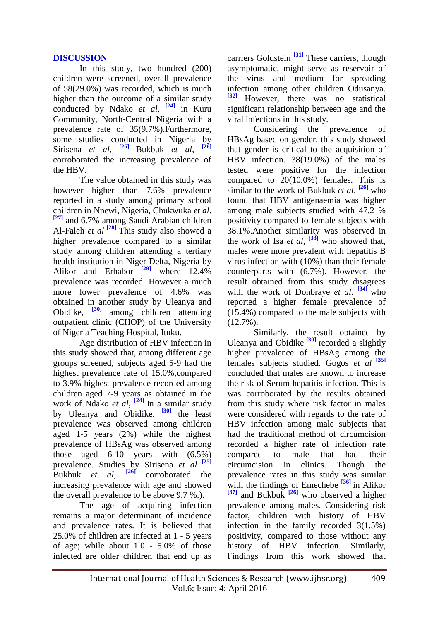### **DISCUSSION**

In this study, two hundred (200) children were screened, overall prevalence of 58(29.0%) was recorded, which is much higher than the outcome of a similar study conducted by Ndako *et al,* **[24]** in Kuru Community, North-Central Nigeria with a prevalence rate of 35(9.7%).Furthermore, some studies conducted in Nigeria by Sirisena *et al,* **[25]** Bukbuk *et al,* **[26]** corroborated the increasing prevalence of the HBV.

The value obtained in this study was however higher than 7.6% prevalence reported in a study among primary school children in Nnewi, Nigeria, Chukwuka *et al*. **[27]** and 6.7% among Saudi Arabian children Al-Faleh *et al*  $\left[\frac{28}{128}\right]$  This study also showed a higher prevalence compared to a similar study among children attending a tertiary health institution in Niger Delta, Nigeria by Alikor and Erhabor <sup>[29]</sup> where 12.4% prevalence was recorded. However a much more lower prevalence of 4.6% was obtained in another study by Uleanya and Obidike, **[30]** among children attending outpatient clinic (CHOP) of the University of Nigeria Teaching Hospital, Ituku.

Age distribution of HBV infection in this study showed that, among different age groups screened, subjects aged 5-9 had the highest prevalence rate of 15.0%,compared to 3.9% highest prevalence recorded among children aged 7-9 years as obtained in the work of Ndako *et al,* **[24]** In a similar study by Uleanya and Obidike. <sup>[30]</sup> the least prevalence was observed among children aged 1-5 years (2%) while the highest prevalence of HBsAg was observed among those aged 6-10 years with (6.5%) prevalence. Studies by Sirisena *et al* **[25]** Bukbuk *et al*, **[26]** corroborated the increasing prevalence with age and showed the overall prevalence to be above 9.7 %.).

The age of acquiring infection remains a major determinant of incidence and prevalence rates. It is believed that 25.0% of children are infected at 1 - 5 years of age; while about 1.0 - 5.0% of those infected are older children that end up as

carriers Goldstein **[31]** These carriers, though asymptomatic, might serve as reservoir of the virus and medium for spreading infection among other children Odusanya. **[32]** However, there was no statistical significant relationship between age and the viral infections in this study.

Considering the prevalence of HBsAg based on gender, this study showed that gender is critical to the acquisition of HBV infection. 38(19.0%) of the males tested were positive for the infection compared to 20(10.0%) females. This is similar to the work of Bukbuk *et al,* **[26]** who found that HBV antigenaemia was higher among male subjects studied with 47.2 % positivity compared to female subjects with 38.1%.Another similarity was observed in the work of Isa *et al*,  $\left[33\right]$  who showed that, males were more prevalent with hepatitis B virus infection with (10%) than their female counterparts with (6.7%). However, the result obtained from this study disagrees with the work of Donbraye *et al.* <sup>[34]</sup> who reported a higher female prevalence of (15.4%) compared to the male subjects with  $(12.7\%)$ .

Similarly, the result obtained by Uleanya and Obidike **[30]** recorded a slightly higher prevalence of HBsAg among the females subjects studied. Gogos *et al* **[35]** concluded that males are known to increase the risk of Serum hepatitis infection. This is was corroborated by the results obtained from this study where risk factor in males were considered with regards to the rate of HBV infection among male subjects that had the traditional method of circumcision recorded a higher rate of infection rate compared to male that had their circumcision in clinics. Though the prevalence rates in this study was similar with the findings of Emechebe **[36]** in Alikor **[37]** and Bukbuk **[26]** who observed a higher prevalence among males. Considering risk factor, children with history of HBV infection in the family recorded 3(1.5%) positivity, compared to those without any history of HBV infection. Similarly, Findings from this work showed that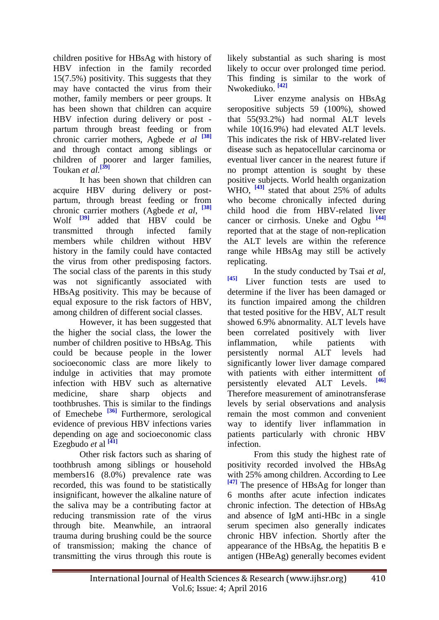children positive for HBsAg with history of HBV infection in the family recorded 15(7.5%) positivity. This suggests that they may have contacted the virus from their mother, family members or peer groups. It has been shown that children can acquire HBV infection during delivery or post partum through breast feeding or from chronic carrier mothers, Agbede *et al* **[38]** and through contact among siblings or children of poorer and larger families, Toukan *et al.* **[39]**

It has been shown that children can acquire HBV during delivery or postpartum, through breast feeding or from chronic carrier mothers (Agbede *et al*, **[38]** Wolf **[39]** added that HBV could be transmitted through infected family members while children without HBV history in the family could have contacted the virus from other predisposing factors. The social class of the parents in this study was not significantly associated with HBsAg positivity. This may be because of equal exposure to the risk factors of HBV, among children of different social classes.

However, it has been suggested that the higher the social class, the lower the number of children positive to HBsAg. This could be because people in the lower socioeconomic class are more likely to indulge in activities that may promote infection with HBV such as alternative medicine, share sharp objects and toothbrushes. This is similar to the findings of Emechebe **[36]** Furthermore, serological evidence of previous HBV infections varies depending on age and socioeconomic class Ezegbudo *et* al **[41]**

Other risk factors such as sharing of toothbrush among siblings or household members16 (8.0%) prevalence rate was recorded, this was found to be statistically insignificant, however the alkaline nature of the saliva may be a contributing factor at reducing transmission rate of the virus through bite. Meanwhile, an intraoral trauma during brushing could be the source of transmission; making the chance of transmitting the virus through this route is

likely substantial as such sharing is most likely to occur over prolonged time period. This finding is similar to the work of Nwokediuko. **[42]**

Liver enzyme analysis on HBsAg seropositive subjects 59 (100%), showed that 55(93.2%) had normal ALT levels while 10(16.9%) had elevated ALT levels. This indicates the risk of HBV-related liver disease such as hepatocellular carcinoma or eventual liver cancer in the nearest future if no prompt attention is sought by these positive subjects. World health organization WHO, <sup>[43]</sup> stated that about 25% of adults who become chronically infected during child hood die from HBV-related liver cancer or cirrhosis. Uneke and Ogbu **[44]** reported that at the stage of non-replication the ALT levels are within the reference range while HBsAg may still be actively replicating.

In the study conducted by Tsai *et al,* **[45]** Liver function tests are used to determine if the liver has been damaged or its function impaired among the children that tested positive for the HBV, ALT result showed 6.9% abnormality. ALT levels have been correlated positively with liver inflammation, while patients with persistently normal ALT levels had significantly lower liver damage compared with patients with either intermittent of persistently elevated ALT Levels. **[46]** Therefore measurement of aminotransferase levels by serial observations and analysis remain the most common and convenient way to identify liver inflammation in patients particularly with chronic HBV infection.

From this study the highest rate of positivity recorded involved the HBsAg with 25% among children. According to Lee **[47]** The presence of HBsAg for longer than 6 months after acute infection indicates chronic infection. The detection of HBsAg and absence of IgM anti-HBc in a single serum specimen also generally indicates chronic HBV infection. Shortly after the appearance of the HBsAg, the hepatitis B e antigen (HBeAg) generally becomes evident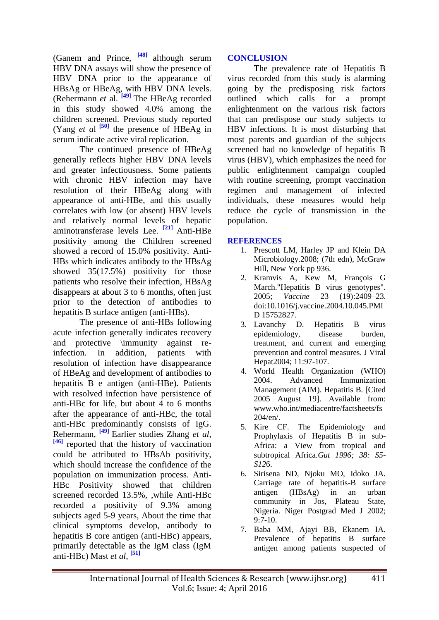(Ganem and Prince, **[48]** although serum HBV DNA assays will show the presence of HBV DNA prior to the appearance of HBsAg or HBeAg, with HBV DNA levels. (Rehermann *et* al. **[49]** The HBeAg recorded in this study showed 4.0% among the children screened. Previous study reported (Yang *et al*  $\begin{bmatrix} 50 \end{bmatrix}$  the presence of HBeAg in serum indicate active viral replication.

The continued presence of HBeAg generally reflects higher HBV DNA levels and greater infectiousness. Some patients with chronic HBV infection may have resolution of their HBeAg along with appearance of anti-HBe, and this usually correlates with low (or absent) HBV levels and relatively normal levels of hepatic aminotransferase levels Lee. **[21]** Anti-HBe positivity among the Children screened showed a record of 15.0% positivity. Anti-HBs which indicates antibody to the HBsAg showed 35(17.5%) positivity for those patients who resolve their infection, HBsAg disappears at about 3 to 6 months, often just prior to the detection of antibodies to hepatitis B surface antigen (anti-HBs).

The presence of anti-HBs following acute infection generally indicates recovery and protective \immunity against reinfection. In addition, patients with resolution of infection have disappearance of HBeAg and development of antibodies to hepatitis B e antigen (anti-HBe). Patients with resolved infection have persistence of anti-HBc for life, but about 4 to 6 months after the appearance of anti-HBc, the total anti-HBc predominantly consists of IgG. Rehermann, **[49]** Earlier studies Zhang *et al*, **[46]** reported that the history of vaccination could be attributed to HBsAb positivity, which should increase the confidence of the population on immunization process. Anti-HBc Positivity showed that children screened recorded 13.5%, ,while Anti-HBc recorded a positivity of 9.3% among subjects aged 5-9 years, About the time that clinical symptoms develop, antibody to hepatitis B core antigen (anti-HBc) appears, primarily detectable as the IgM class (IgM anti-HBc) Mast *et al,* **[51]**

## **CONCLUSION**

The prevalence rate of Hepatitis B virus recorded from this study is alarming going by the predisposing risk factors outlined which calls for a prompt enlightenment on the various risk factors that can predispose our study subjects to HBV infections. It is most disturbing that most parents and guardian of the subjects screened had no knowledge of hepatitis B virus (HBV), which emphasizes the need for public enlightenment campaign coupled with routine screening, prompt vaccination regimen and management of infected individuals, these measures would help reduce the cycle of transmission in the population.

## **REFERENCES**

- 1. Prescott LM, Harley JP and Klein DA Microbiology.2008; (7th edn), McGraw Hill, New York pp 936.
- 2. Kramvis A, Kew M, François G March."Hepatitis B virus genotypes". 2005; *Vaccine* 23 (19):2409–23. doi:10.1016/j.vaccine.2004.10.045.PMI D 15752827.
- 3. Lavanchy D. Hepatitis B virus epidemiology, disease burden, treatment, and current and emerging prevention and control measures. J Viral Hepat2004; 11:97-107.
- 4. World Health Organization (WHO) 2004. Advanced Immunization Management (AIM). Hepatitis B. [Cited 2005 August 19]. Available from: [www.who.int/mediacentre/f](http://www.who.int/mediacentre/)actsheets/fs 204/en/.
- 5. Kire CF. The Epidemiology and Prophylaxis of Hepatitis B in sub-Africa: a View from tropical and subtropical Africa.*Gut 1996; 38: S5- S12*6.
- 6. Sirisena ND, Njoku MO, Idoko JA. Carriage rate of hepatitis-B surface antigen (HBsAg) in an urban community in Jos, Plateau State, Nigeria. Niger Postgrad Med J 2002; 9:7-10.
- 7. Baba MM, Ajayi BB, Ekanem IA. Prevalence of hepatitis B surface antigen among patients suspected of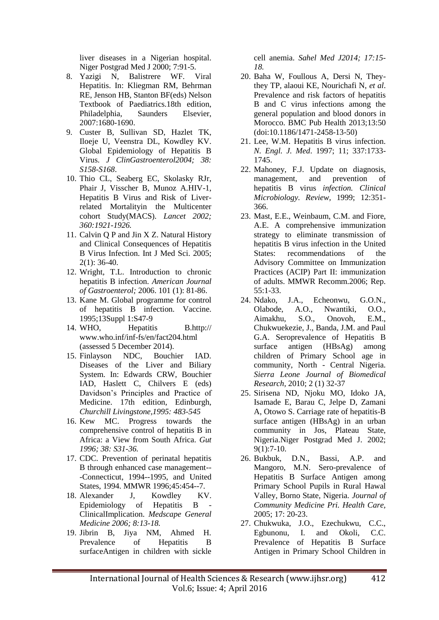liver diseases in a Nigerian hospital. Niger Postgrad Med J 2000; 7:91-5.

- 8. Yazigi N, Balistrere WF. Viral Hepatitis. In: Kliegman RM, Behrman RE, Jenson HB, Stanton BF(eds) Nelson Textbook of Paediatrics.18th edition, Philadelphia, Saunders Elsevier, 2007:1680-1690.
- 9. Custer B, Sullivan SD, Hazlet TK, Iloeje U, Veenstra DL, Kowdley KV. Global Epidemiology of Hepatitis B Virus. *J ClinGastroenterol2004; 38: S158-S168*.
- 10. Thio CL, Seaberg EC, Skolasky RJr, Phair J, Visscher B, Munoz A.HIV-1, Hepatitis B Virus and Risk of Liverrelated Mortalityin the Multicenter cohort Study(MACS). *Lancet 2002; 360:1921-1926.*
- 11. [Calvin Q P](http://www.ncbi.nlm.nih.gov/pubmed/?term=Pan%20CQ%5Bauth%5D) and [Jin X Z.](http://www.ncbi.nlm.nih.gov/pubmed/?term=Zhang%20JX%5Bauth%5D) Natural History and Clinical Consequences of Hepatitis B Virus Infection. Int J Med Sci. 2005;  $2(1)$ : 36-40.
- 12. Wright, T.L. Introduction to chronic hepatitis B infection. *American Journal of Gastroenterol;* 2006. 101 (1): 81-86.
- 13. Kane M. Global programme for control of hepatitis B infection. Vaccine. 1995;13Suppl 1:S47-9
- 14. WHO, Hepatitis B.http:// www.who.inf/inf-fs/en/fact204.html (assessed 5 December 2014).
- 15. Finlayson NDC, Bouchier IAD. Diseases of the Liver and Biliary System. In: Edwards CRW, Bouchier IAD, Haslett C, Chilvers E (eds) Davidson's Principles and Practice of Medicine. 17th edition, Edinburgh, *Churchill Livingstone,1995: 483-545*
- 16. Kew MC. Progress towards the comprehensive control of hepatitis B in Africa: a View from South Africa. *Gut 1996; 38: S31-36.*
- 17. [CDC. Prevention of perinatal hepatitis](http://www.cdc.gov/mmwr/preview/mmwrhtml/00042966.htm)  [B through enhanced case management--](http://www.cdc.gov/mmwr/preview/mmwrhtml/00042966.htm) [-Connecticut, 1994--1995, and United](http://www.cdc.gov/mmwr/preview/mmwrhtml/00042966.htm)  [States, 1994. MMWR 1996;45:454--7.](http://www.cdc.gov/mmwr/preview/mmwrhtml/00042966.htm)
- 18. Alexander J, Kowdley KV. Epidemiology of Hepatitis B ClinicalImplication. *Medscape General Medicine 2006; 8:13-18.*
- 19. Jibrin B, Jiya NM, Ahmed H. Prevalence of Hepatitis B surfaceAntigen in children with sickle

cell anemia. *Sahel Med J2014; 17:15- 18.*

- 20. Baha W, Foullous A, Dersi N, Theythey TP, alaoui KE, Nourichafi N, *et al*. Prevalence and risk factors of hepatitis B and C virus infections among the general population and blood donors in Morocco. BMC Pub Health 2013;13:50 (doi:10.1186/1471-2458-13-50)
- 21. Lee, W.M. Hepatitis B virus infection. *N. Engl. J. Med*. 1997; 11; 337:1733- 1745.
- 22. Mahoney, F.J. Update on diagnosis, management, and prevention of hepatitis B virus *infection. Clinical Microbiology. Review,* 1999; 12:351- 366.
- 23. Mast, E.E., Weinbaum, C.M. and Fiore, A.E. A comprehensive immunization strategy to eliminate transmission of hepatitis B virus infection in the United States: recommendations of the Advisory Committee on Immunization Practices (ACIP) Part II: immunization of adults. MMWR Recomm.2006; Rep. 55:1-33.
- 24. Ndako, J.A., Echeonwu, G.O.N., Olabode, A.O., Nwantiki, O.O., Aimakhu, S.O., Onovoh, E.M., Chukwuekezie, J., Banda, J.M. and Paul G.A. Seroprevalence of Hepatitis B surface antigen (HBsAg) among children of Primary School age in community, North - Central Nigeria. *Sierra Leone Journal of Biomedical Research,* 2010; 2 (1) 32-37
- 25. [Sirisena ND,](http://www.ncbi.nlm.nih.gov/pubmed/?term=Sirisena%20ND%5BAuthor%5D&cauthor=true&cauthor_uid=11932753) [Njoku MO,](http://www.ncbi.nlm.nih.gov/pubmed/?term=Njoku%20MO%5BAuthor%5D&cauthor=true&cauthor_uid=11932753) [Idoko JA,](http://www.ncbi.nlm.nih.gov/pubmed/?term=Idoko%20JA%5BAuthor%5D&cauthor=true&cauthor_uid=11932753) [Isamade E,](http://www.ncbi.nlm.nih.gov/pubmed/?term=Isamade%20E%5BAuthor%5D&cauthor=true&cauthor_uid=11932753) [Barau C,](http://www.ncbi.nlm.nih.gov/pubmed/?term=Barau%20C%5BAuthor%5D&cauthor=true&cauthor_uid=11932753) [Jelpe D,](http://www.ncbi.nlm.nih.gov/pubmed/?term=Jelpe%20D%5BAuthor%5D&cauthor=true&cauthor_uid=11932753) [Zamani](http://www.ncbi.nlm.nih.gov/pubmed/?term=Zamani%20A%5BAuthor%5D&cauthor=true&cauthor_uid=11932753)  [A,](http://www.ncbi.nlm.nih.gov/pubmed/?term=Zamani%20A%5BAuthor%5D&cauthor=true&cauthor_uid=11932753) [Otowo S.](http://www.ncbi.nlm.nih.gov/pubmed/?term=Otowo%20S%5BAuthor%5D&cauthor=true&cauthor_uid=11932753) Carriage rate of hepatitis-B surface antigen (HBsAg) in an urban community in Jos, Plateau State, Nigeria[.Niger Postgrad Med J.](http://www.ncbi.nlm.nih.gov/pubmed/11932753) 2002; 9(1):7-10.
- 26. Bukbuk, D.N., Bassi, A.P. and Mangoro, M.N. Sero-prevalence of Hepatitis B Surface Antigen among Primary School Pupils in Rural Hawal Valley, Borno State, Nigeria*. Journal of Community Medicine Pri. Health Care,* 2005; 17: 20-23.
- 27. Chukwuka, J.O., Ezechukwu, C.C., Egbunonu, I. and Okoli, C.C. Prevalence of Hepatitis B Surface Antigen in Primary School Children in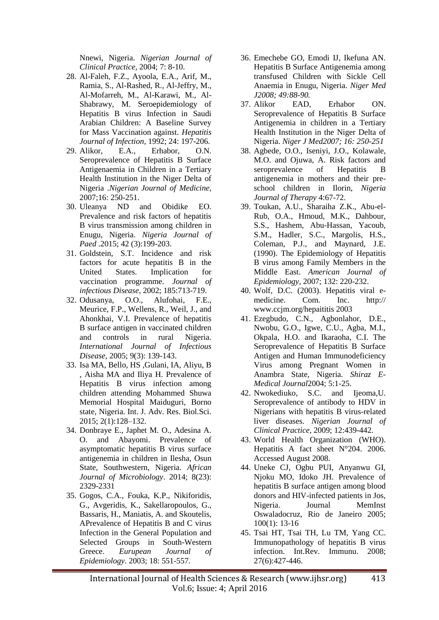Nnewi, Nigeria. *Nigerian Journal of Clinical Practice*, 2004; 7: 8-10.

- 28. Al-Faleh, F.Z., Ayoola, E.A., Arif, M., Ramia, S., Al-Rashed, R., Al-Jeffry, M., Al-Mofarreh, M., Al-Karawi, M., Al-Shabrawy, M. Seroepidemiology of Hepatitis B virus Infection in Saudi Arabian Children: A Baseline Survey for Mass Vaccination against. *Hepatitis Journal of Infection*, 1992; 24: 197-206.
- 29. Alikor, E.A., Erhabor, O.N. Seroprevalence of Hepatitis B Surface Antigenaemia in Children in a Tertiary Health Institution in the Niger Delta of Nigeria .*Nigerian Journal of Medicine*, 2007;16: 250-251.
- 30. Uleanya ND and Obidike EO. Prevalence and risk factors of hepatitis B virus transmission among children in Enugu, Nigeria. *Nigeria Journal of Paed* .2015; 42 (3):199-203.
- 31. Goldstein, S.T. Incidence and risk factors for acute hepatitis B in the United States. Implication for vaccination programme. *Journal of infectious Disease*, 2002; 185:713-719.
- 32. Odusanya, O.O., Alufohai, F.E., Meurice, F.P., Wellens, R., Weil, J., and Ahonkhai, V.I. Prevalence of hepatitis B surface antigen in vaccinated children and controls in rural Nigeria. *International Journal of Infectious Disease*, 2005; 9(3): 139-143.
- 33. Isa MA, Bello, HS ,Gulani, IA, Aliyu, B , Aisha MA and Iliya H. Prevalence of Hepatitis B virus infection among children attending Mohammed Shuwa Memorial Hospital Maiduguri, Borno state, Nigeria. Int. J. Adv. Res. Biol.Sci. 2015; 2(1):128–132.
- 34. Donbraye E., Japhet M. O., Adesina A. O. and Abayomi. Prevalence of asymptomatic hepatitis B virus surface antigenemia in children in Ilesha, Osun State, Southwestern, Nigeria. *African Journal of Microbiology*. 2014; 8(23): 2329-2331
- 35. Gogos, C.A., Fouka, K.P., Nikiforidis, G., Avgeridis, K., Sakellaropoulos, G., Bassaris, H., Maniatis, A. and Skoutelis, APrevalence of Hepatitis B and C virus Infection in the General Population and Selected Groups in South-Western Greece. *Eurupean Journal of Epidemiology*. 2003; 18: 551-557.
- 36. Emechebe GO, Emodi IJ, Ikefuna AN. Hepatitis B Surface Antigenemia among transfused Children with Sickle Cell Anaemia in Enugu, Nigeria. *Niger Med J2008; 49:88-90.*
- 37. Alikor EAD, Erhabor ON. Seroprevalence of Hepatitis B Surface Antigenemia in children in a Tertiary Health Institution in the Niger Delta of Nigeria. *Niger J Med2007; 16: 250-251*
- 38. Agbede, O.O., Iseniyi, J.O., Kolawale, M.O. and Ojuwa, A. Risk factors and seroprevalence of Hepatitis B antigenemia in mothers and their preschool children in Ilorin, *Nigeria Journal of Therapy* 4:67-72.
- 39. Toukan, A.U., Sharaiha Z.K., Abu-el-Rub, O.A., Hmoud, M.K., Dahbour, S.S., Hashem, Abu-Hassan, Yacoub, S.M., Hadler, S.C., Margolis, H.S., Coleman, P.J., and Maynard, J.E. (1990). The Epidemiology of Hepatitis B virus among Family Members in the Middle East. *American Journal of Epidemiology*, 2007; 132: 220-232.
- 40. Wolf, D.C. (2003). Hepatitis viral emedicine. Com. Inc. http:// www.ccjm.org/hepaititis 2003
- 41. Ezegbudo, C.N., Agbonlahor, D.E., Nwobu, G.O., Igwe, C.U., Agba, M.I., Okpala, H.O. and Ikaraoha, C.I. The Seroprevalence of Hepatitis B Surface Antigen and Human Immunodeficiency Virus among Pregnant Women in Anambra State, Nigeria. *Shiraz E-Medical Journal*2004; 5:1-25.
- 42. Nwokediuko, S.C. and Ijeoma,U. Seroprevalence of antibody to HDV in Nigerians with hepatitis B virus-related liver diseases. *Nigerian Journal of Clinical Practice,* 2009; 12:439-442.
- 43. World Health Organization (WHO). Hepatitis A fact sheet N°204. 2006. Accessed August 2008.
- 44. Uneke CJ, Ogbu PUI, Anyanwu GI, Njoku MO, Idoko JH. Prevalence of hepatitis B surface antigen among blood donors and HIV-infected patients in Jos, Nigeria. Journal MemInst Oswaladocruz, Rio de Janeiro 2005; 100(1): 13-16
- 45. [Tsai HT,](http://www.ncbi.nlm.nih.gov/pubmed/?term=Tsai%20HT%5BAuthor%5D&cauthor=true&cauthor_uid=19065350) [Tsai TH,](http://www.ncbi.nlm.nih.gov/pubmed/?term=Tsai%20TH%5BAuthor%5D&cauthor=true&cauthor_uid=19065350) [Lu TM,](http://www.ncbi.nlm.nih.gov/pubmed/?term=Lu%20TM%5BAuthor%5D&cauthor=true&cauthor_uid=19065350) [Yang CC.](http://www.ncbi.nlm.nih.gov/pubmed/?term=Yang%20CC%5BAuthor%5D&cauthor=true&cauthor_uid=19065350) Immunopathology of hepatitis B virus infection. Int.Rev. Immunu. 2008; 27(6):427-446.